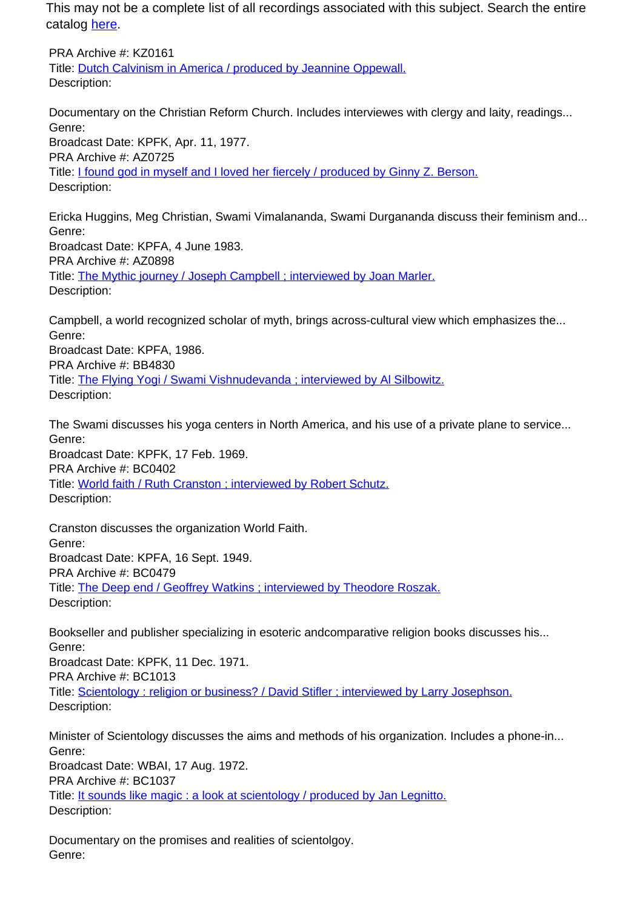This may not be a complete list of all recordings associated with this subject. Search the entire catalog [here.](http://pacificaradioarchives.org/keyword-search)

PRA Archive #: KZ0161 Title: Dutch Calvinism in America / produced by Jeannine Oppewall. Description:

Documentary on the Christian Reform Church. Includes interviewes with clergy and laity, readings... Genre: Broadcast Date: KPFK, Apr. 11, 1977. PRA Archive #: AZ0725 Title: I found god in myself and I loved her fiercely / produced by Ginny Z. Berson. Description:

Ericka Huggins, Meg Christian, Swami Vimalananda, Swami Durgananda discuss their feminism and... Genre: Broadcast Date: KPFA, 4 June 1983. PRA Archive #: AZ0898 Title: The Mythic journey / Joseph Campbell ; interviewed by Joan Marler. Description:

Campbell, a world recognized scholar of myth, brings across-cultural view which emphasizes the... Genre: Broadcast Date: KPFA, 1986. PRA Archive #: BB4830 Title: The Flying Yogi / Swami Vishnudevanda ; interviewed by Al Silbowitz. Description:

The Swami discusses his yoga centers in North America, and his use of a private plane to service... Genre: Broadcast Date: KPFK, 17 Feb. 1969.

PRA Archive #: BC0402 Title: World faith / Ruth Cranston ; interviewed by Robert Schutz. Description:

Cranston discusses the organization World Faith. Genre: Broadcast Date: KPFA, 16 Sept. 1949. PRA Archive #: BC0479 Title: The Deep end / Geoffrey Watkins ; interviewed by Theodore Roszak. Description:

Bookseller and publisher specializing in esoteric andcomparative religion books discusses his... Genre:

Broadcast Date: KPFK, 11 Dec. 1971. PRA Archive #: BC1013 Title: Scientology : religion or business? / David Stifler ; interviewed by Larry Josephson. Description:

Minister of Scientology discusses the aims and methods of his organization. Includes a phone-in... Genre: Broadcast Date: WBAI, 17 Aug. 1972. PRA Archive #: BC1037 Title: It sounds like magic : a look at scientology / produced by Jan Legnitto. Description:

Documentary on the promises and realities of scientolgoy. Genre: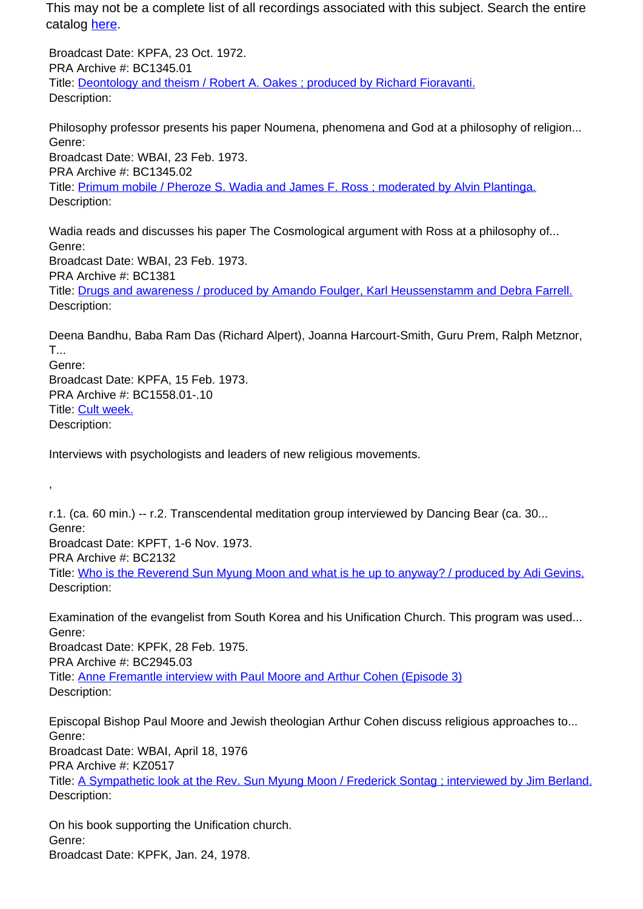This may not be a complete list of all recordings associated with this subject. Search the entire catalog here.

Broadcast Date: KPFA, 23 Oct. 1972. PRA Archive #: BC1345.01 Title: Deontology and theism / Robert A. Oakes ; produced by Richard Fioravanti. Description:

Philosophy professor presents his paper Noumena, phenomena and God at a philosophy of religion... Genre: Broadcast Date: WBAI, 23 Feb. 1973. PRA Archive #: BC1345.02 Title: Primum mobile / Pheroze S. Wadia and James F. Ross ; moderated by Alvin Plantinga. Description:

Wadia reads and discusses his paper The Cosmological argument with Ross at a philosophy of... Genre: Broadcast Date: WBAI, 23 Feb. 1973. PRA Archive #: BC1381 Title: Drugs and awareness / produced by Amando Foulger, Karl Heussenstamm and Debra Farrell. Description:

Deena Bandhu, Baba Ram Das (Richard Alpert), Joanna Harcourt-Smith, Guru Prem, Ralph Metznor, T... Genre: Broadcast Date: KPFA, 15 Feb. 1973. PRA Archive #: BC1558.01-.10 Title: Cult week. Description:

Interviews with psychologists and leaders of new religious movements.

r.1. (ca. 60 min.) -- r.2. Transcendental meditation group interviewed by Dancing Bear (ca. 30... Genre: Broadcast Date: KPFT, 1-6 Nov. 1973. PRA Archive #: BC2132 Title: Who is the Reverend Sun Myung Moon and what is he up to anyway? / produced by Adi Gevins. Description:

Examination of the evangelist from South Korea and his Unification Church. This program was used... Genre: Broadcast Date: KPFK, 28 Feb. 1975. PRA Archive #: BC2945.03 Title: Anne Fremantle interview with Paul Moore and Arthur Cohen (Episode 3) Description:

Episcopal Bishop Paul Moore and Jewish theologian Arthur Cohen discuss religious approaches to... Genre: Broadcast Date: WBAI, April 18, 1976

PRA Archive #: KZ0517

,

Title: A Sympathetic look at the Rev. Sun Myung Moon / Frederick Sontag ; interviewed by Jim Berland. Description:

On his book supporting the Unification church. Genre: Broadcast Date: KPFK, Jan. 24, 1978.